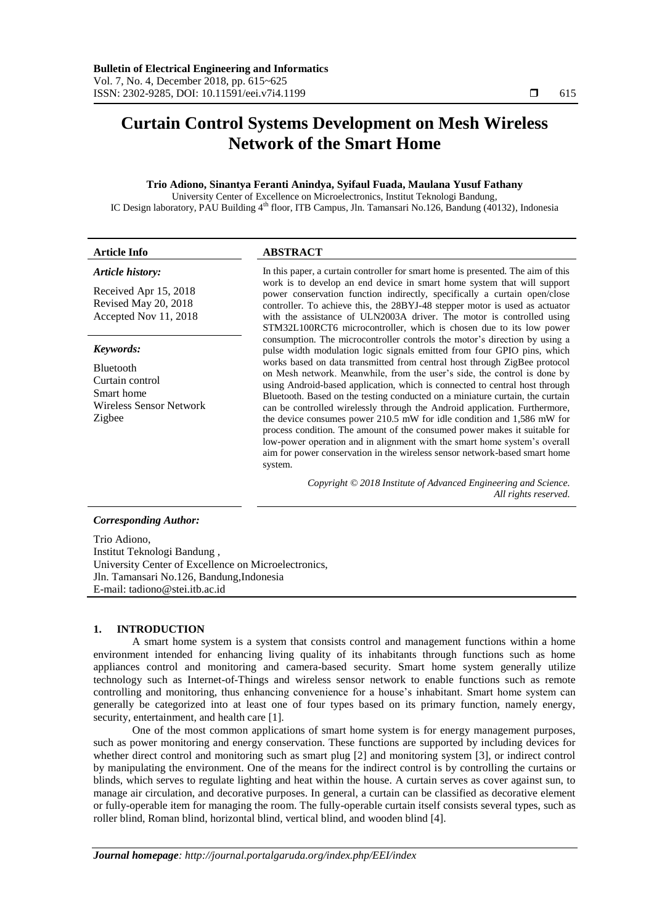# **Curtain Control Systems Development on Mesh Wireless Network of the Smart Home**

# **Trio Adiono, Sinantya Feranti Anindya, Syifaul Fuada, Maulana Yusuf Fathany**

University Center of Excellence on Microelectronics, Institut Teknologi Bandung, IC Design laboratory, PAU Building 4<sup>th</sup> floor, ITB Campus, Jln. Tamansari No.126, Bandung (40132), Indonesia

| <b>Article Info</b>                                                                                                                                                                | <b>ABSTRACT</b>                                                                                                                                                                                                                                                                                                                                                                                                                                                                                                                                                                                                                                                                                                                                                                                                                                                                                                                                                                                                                                             |  |
|------------------------------------------------------------------------------------------------------------------------------------------------------------------------------------|-------------------------------------------------------------------------------------------------------------------------------------------------------------------------------------------------------------------------------------------------------------------------------------------------------------------------------------------------------------------------------------------------------------------------------------------------------------------------------------------------------------------------------------------------------------------------------------------------------------------------------------------------------------------------------------------------------------------------------------------------------------------------------------------------------------------------------------------------------------------------------------------------------------------------------------------------------------------------------------------------------------------------------------------------------------|--|
| Article history:<br>Received Apr 15, 2018<br>Revised May 20, 2018<br>Accepted Nov 11, 2018                                                                                         | In this paper, a curtain controller for smart home is presented. The aim of this<br>work is to develop an end device in smart home system that will support<br>power conservation function indirectly, specifically a curtain open/close<br>controller. To achieve this, the 28BYJ-48 stepper motor is used as actuator<br>with the assistance of ULN2003A driver. The motor is controlled using                                                                                                                                                                                                                                                                                                                                                                                                                                                                                                                                                                                                                                                            |  |
| Keywords:<br><b>Bluetooth</b><br>Curtain control<br>Smart home<br><b>Wireless Sensor Network</b><br>Zigbee                                                                         | STM32L100RCT6 microcontroller, which is chosen due to its low power<br>consumption. The microcontroller controls the motor's direction by using a<br>pulse width modulation logic signals emitted from four GPIO pins, which<br>works based on data transmitted from central host through ZigBee protocol<br>on Mesh network. Meanwhile, from the user's side, the control is done by<br>using Android-based application, which is connected to central host through<br>Bluetooth. Based on the testing conducted on a miniature curtain, the curtain<br>can be controlled wirelessly through the Android application. Furthermore,<br>the device consumes power 210.5 mW for idle condition and 1,586 mW for<br>process condition. The amount of the consumed power makes it suitable for<br>low-power operation and in alignment with the smart home system's overall<br>aim for power conservation in the wireless sensor network-based smart home<br>system.<br>Copyright © 2018 Institute of Advanced Engineering and Science.<br>All rights reserved. |  |
| <b>Corresponding Author:</b>                                                                                                                                                       |                                                                                                                                                                                                                                                                                                                                                                                                                                                                                                                                                                                                                                                                                                                                                                                                                                                                                                                                                                                                                                                             |  |
| Trio Adiono,<br>Institut Teknologi Bandung,<br>University Center of Excellence on Microelectronics,<br>Jln. Tamansari No.126, Bandung, Indonesia<br>E-mail: tadiono@stei.itb.ac.id |                                                                                                                                                                                                                                                                                                                                                                                                                                                                                                                                                                                                                                                                                                                                                                                                                                                                                                                                                                                                                                                             |  |

# **1. INTRODUCTION**

A smart home system is a system that consists control and management functions within a home environment intended for enhancing living quality of its inhabitants through functions such as home appliances control and monitoring and camera-based security. Smart home system generally utilize technology such as Internet-of-Things and wireless sensor network to enable functions such as remote controlling and monitoring, thus enhancing convenience for a house"s inhabitant. Smart home system can generally be categorized into at least one of four types based on its primary function, namely energy, security, entertainment, and health care [1].

One of the most common applications of smart home system is for energy management purposes, such as power monitoring and energy conservation. These functions are supported by including devices for whether direct control and monitoring such as smart plug [2] and monitoring system [3], or indirect control by manipulating the environment. One of the means for the indirect control is by controlling the curtains or blinds, which serves to regulate lighting and heat within the house. A curtain serves as cover against sun, to manage air circulation, and decorative purposes. In general, a curtain can be classified as decorative element or fully-operable item for managing the room. The fully-operable curtain itself consists several types, such as roller blind, Roman blind, horizontal blind, vertical blind, and wooden blind [4].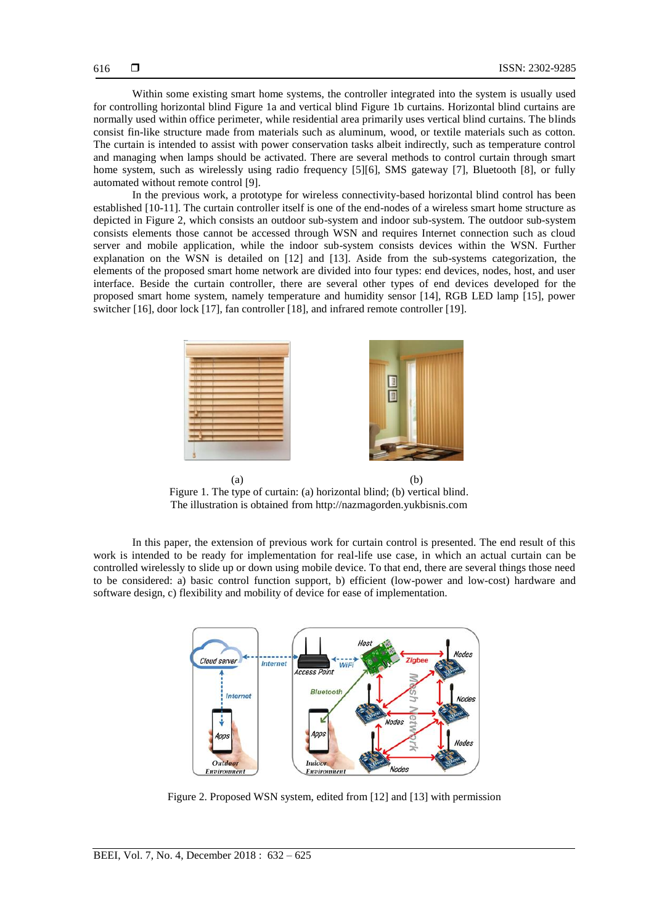Within some existing smart home systems, the controller integrated into the system is usually used for controlling horizontal blind Figure 1a and vertical blind Figure 1b curtains. Horizontal blind curtains are normally used within office perimeter, while residential area primarily uses vertical blind curtains. The blinds consist fin-like structure made from materials such as aluminum, wood, or textile materials such as cotton. The curtain is intended to assist with power conservation tasks albeit indirectly, such as temperature control and managing when lamps should be activated. There are several methods to control curtain through smart home system, such as wirelessly using radio frequency [5][6], SMS gateway [7], Bluetooth [8], or fully automated without remote control [9].

In the previous work, a prototype for wireless connectivity-based horizontal blind control has been established [10-11]. The curtain controller itself is one of the end-nodes of a wireless smart home structure as depicted in Figure 2, which consists an outdoor sub-system and indoor sub-system. The outdoor sub-system consists elements those cannot be accessed through WSN and requires Internet connection such as cloud server and mobile application, while the indoor sub-system consists devices within the WSN. Further explanation on the WSN is detailed on [12] and [13]. Aside from the sub-systems categorization, the elements of the proposed smart home network are divided into four types: end devices, nodes, host, and user interface. Beside the curtain controller, there are several other types of end devices developed for the proposed smart home system, namely temperature and humidity sensor [14], RGB LED lamp [15], power switcher [16], door lock [17], fan controller [18], and infrared remote controller [19].



 $(a)$  (b) Figure 1. The type of curtain: (a) horizontal blind; (b) vertical blind. The illustration is obtained from http://nazmagorden.yukbisnis.com

In this paper, the extension of previous work for curtain control is presented. The end result of this work is intended to be ready for implementation for real-life use case, in which an actual curtain can be controlled wirelessly to slide up or down using mobile device. To that end, there are several things those need to be considered: a) basic control function support, b) efficient (low-power and low-cost) hardware and software design, c) flexibility and mobility of device for ease of implementation.



Figure 2. Proposed WSN system, edited from [12] and [13] with permission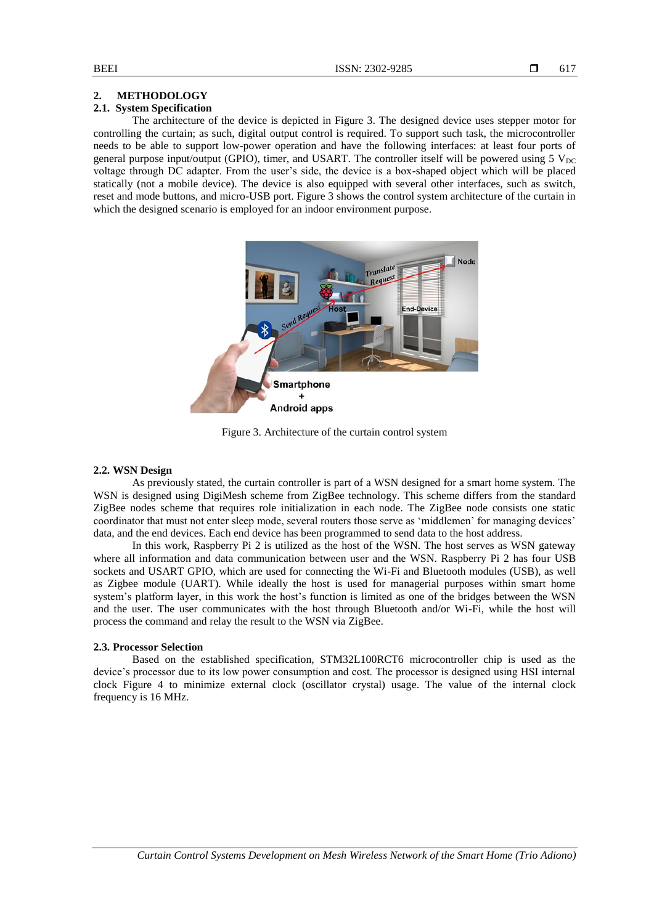# **2. METHODOLOGY**

# **2.1. System Specification**

The architecture of the device is depicted in Figure 3. The designed device uses stepper motor for controlling the curtain; as such, digital output control is required. To support such task, the microcontroller needs to be able to support low-power operation and have the following interfaces: at least four ports of general purpose input/output (GPIO), timer, and USART. The controller itself will be powered using  $5 V_{DC}$ voltage through DC adapter. From the user"s side, the device is a box-shaped object which will be placed statically (not a mobile device). The device is also equipped with several other interfaces, such as switch, reset and mode buttons, and micro-USB port. Figure 3 shows the control system architecture of the curtain in which the designed scenario is employed for an indoor environment purpose.



Figure 3. Architecture of the curtain control system

#### **2.2. WSN Design**

As previously stated, the curtain controller is part of a WSN designed for a smart home system. The WSN is designed using DigiMesh scheme from ZigBee technology. This scheme differs from the standard ZigBee nodes scheme that requires role initialization in each node. The ZigBee node consists one static coordinator that must not enter sleep mode, several routers those serve as "middlemen" for managing devices" data, and the end devices. Each end device has been programmed to send data to the host address.

In this work, Raspberry Pi 2 is utilized as the host of the WSN. The host serves as WSN gateway where all information and data communication between user and the WSN. Raspberry Pi 2 has four USB sockets and USART GPIO, which are used for connecting the Wi-Fi and Bluetooth modules (USB), as well as Zigbee module (UART). While ideally the host is used for managerial purposes within smart home system's platform layer, in this work the host's function is limited as one of the bridges between the WSN and the user. The user communicates with the host through Bluetooth and/or Wi-Fi, while the host will process the command and relay the result to the WSN via ZigBee.

#### **2.3. Processor Selection**

Based on the established specification, STM32L100RCT6 microcontroller chip is used as the device"s processor due to its low power consumption and cost. The processor is designed using HSI internal clock Figure 4 to minimize external clock (oscillator crystal) usage. The value of the internal clock frequency is 16 MHz.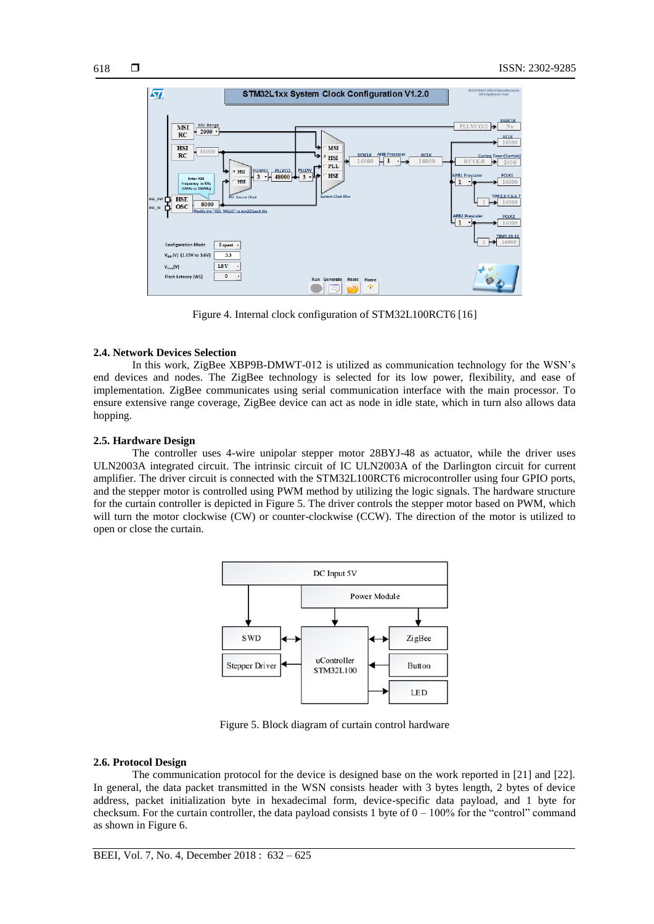

Figure 4. Internal clock configuration of STM32L100RCT6 [16]

## **2.4. Network Devices Selection**

In this work, ZigBee XBP9B-DMWT-012 is utilized as communication technology for the WSN"s end devices and nodes. The ZigBee technology is selected for its low power, flexibility, and ease of implementation. ZigBee communicates using serial communication interface with the main processor. To ensure extensive range coverage, ZigBee device can act as node in idle state, which in turn also allows data hopping.

# **2.5. Hardware Design**

The controller uses 4-wire unipolar stepper motor 28BYJ-48 as actuator, while the driver uses ULN2003A integrated circuit. The intrinsic circuit of IC ULN2003A of the Darlington circuit for current amplifier. The driver circuit is connected with the STM32L100RCT6 microcontroller using four GPIO ports, and the stepper motor is controlled using PWM method by utilizing the logic signals. The hardware structure for the curtain controller is depicted in Figure 5. The driver controls the stepper motor based on PWM, which will turn the motor clockwise (CW) or counter-clockwise (CCW). The direction of the motor is utilized to open or close the curtain.



Figure 5. Block diagram of curtain control hardware

## **2.6. Protocol Design**

The communication protocol for the device is designed base on the work reported in [21] and [22]. In general, the data packet transmitted in the WSN consists header with 3 bytes length, 2 bytes of device address, packet initialization byte in hexadecimal form, device-specific data payload, and 1 byte for checksum. For the curtain controller, the data payload consists 1 byte of  $0 - 100\%$  for the "control" command as shown in Figure 6.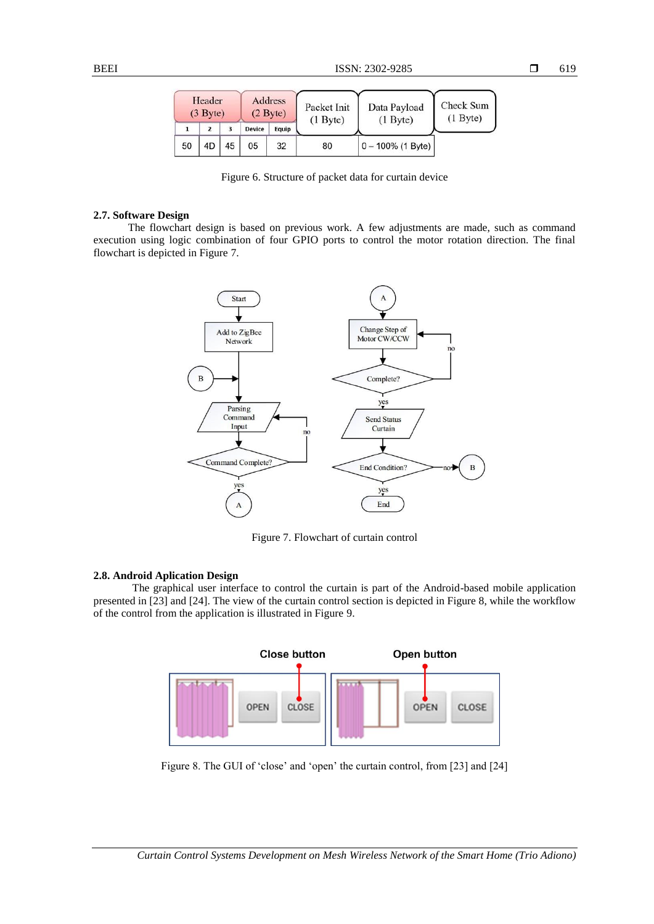| Header<br>$(3$ Byte) |    | Address<br>$(2)$ Byte) |               | Packet Init<br>$(1$ Byte) | Data Payload<br>$(1)$ Byte) | Check Sum<br>$(1)$ Byte) |  |
|----------------------|----|------------------------|---------------|---------------------------|-----------------------------|--------------------------|--|
|                      |    |                        | <b>Device</b> | Equip                     |                             |                          |  |
| 50                   | 4D | 45                     | 05            | 32                        | 80                          | $0 - 100\%$ (1 Byte)     |  |

Figure 6. Structure of packet data for curtain device

## **2.7. Software Design**

The flowchart design is based on previous work. A few adjustments are made, such as command execution using logic combination of four GPIO ports to control the motor rotation direction. The final flowchart is depicted in Figure 7.



Figure 7. Flowchart of curtain control

#### **2.8. Android Aplication Design**

The graphical user interface to control the curtain is part of the Android-based mobile application presented in [23] and [24]. The view of the curtain control section is depicted in Figure 8, while the workflow of the control from the application is illustrated in Figure 9.



Figure 8. The GUI of 'close' and 'open' the curtain control, from [23] and [24]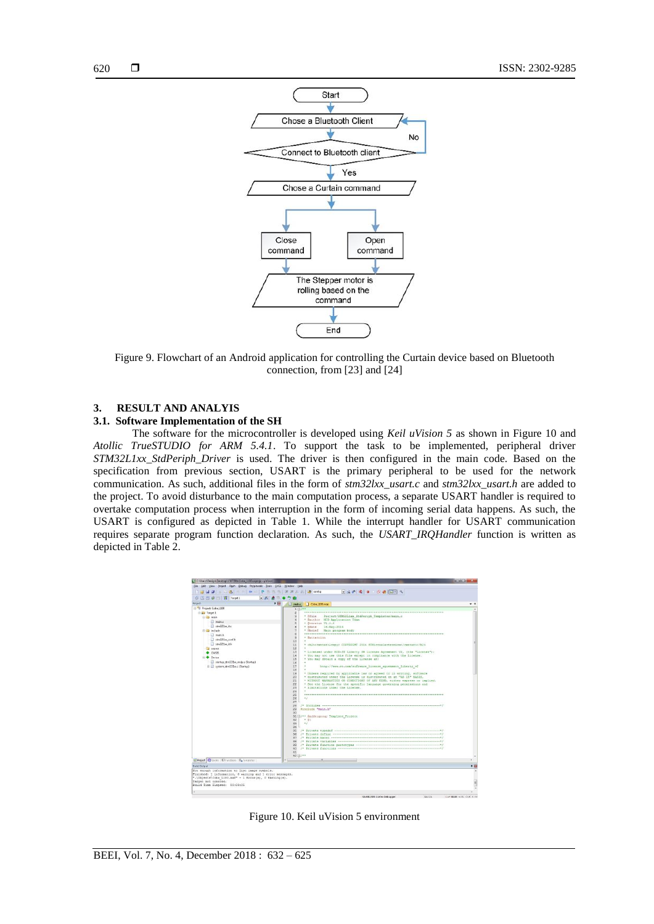

Figure 9. Flowchart of an Android application for controlling the Curtain device based on Bluetooth connection, from [23] and [24]

## **3. RESULT AND ANALYIS**

## **3.1. Software Implementation of the SH**

The software for the microcontroller is developed using *Keil uVision 5* as shown in Figure 10 and *Atollic TrueSTUDIO for ARM 5.4.1*. To support the task to be implemented, peripheral driver *STM32L1xx\_StdPeriph\_Driver* is used. The driver is then configured in the main code. Based on the specification from previous section, USART is the primary peripheral to be used for the network communication. As such, additional files in the form of *stm32lxx\_usart.c* and *stm32lxx\_usart.h* are added to the project. To avoid disturbance to the main computation process, a separate USART handler is required to overtake computation process when interruption in the form of incoming serial data happens. As such, the USART is configured as depicted in Table 1. While the interrupt handler for USART communication requires separate program function declaration. As such, the *USART\_IRQHandler* function is written as depicted in Table 2.



Figure 10. Keil uVision 5 environment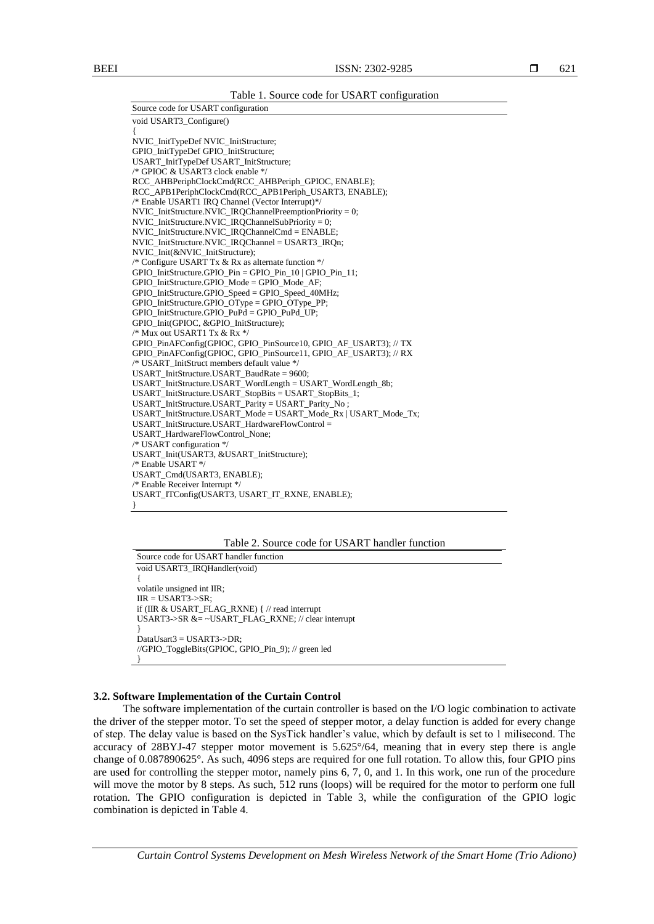#### Table 1. Source code for USART configuration

| Source code for USART configuration                              |
|------------------------------------------------------------------|
| void USART3_Configure()                                          |
| ł                                                                |
| NVIC InitTypeDef NVIC InitStructure;                             |
| GPIO_InitTypeDef GPIO_InitStructure;                             |
| USART InitTypeDef USART InitStructure;                           |
| /* GPIOC & USART3 clock enable */                                |
| RCC_AHBPeriphClockCmd(RCC_AHBPeriph_GPIOC, ENABLE);              |
| RCC_APB1PeriphClockCmd(RCC_APB1Periph_USART3, ENABLE);           |
| /* Enable USART1 IRQ Channel (Vector Interrupt)*/                |
| $NVIC_$ InitStructure.NVIC_IRQChannelPreemptionPriority = 0;     |
| NVIC InitStructure.NVIC IROChannelSubPriority = $0$ ;            |
| NVIC InitStructure.NVIC IROChannelCmd = ENABLE;                  |
| NVIC InitStructure.NVIC IROChannel = USART3 IROn;                |
| NVIC_Init(&NVIC_InitStructure);                                  |
| /* Configure USART Tx & Rx as alternate function */              |
| GPIO InitStructure.GPIO Pin = GPIO Pin $10$   GPIO Pin $11$ ;    |
| GPIO_InitStructure.GPIO_Mode = GPIO_Mode_AF;                     |
| GPIO InitStructure.GPIO Speed = GPIO Speed $40MHz$ ;             |
| $GPIO$ _InitStructure.GPIO_OType = $GPIO$ _OType_PP;             |
| GPIO_InitStructure.GPIO_PuPd = GPIO_PuPd_UP;                     |
| GPIO Init(GPIOC, &GPIO InitStructure);                           |
| /* Mux out USART1 Tx & Rx $*/$                                   |
| GPIO PinAFConfig(GPIOC, GPIO PinSource10, GPIO AF USART3); // TX |
| GPIO_PinAFConfig(GPIOC, GPIO_PinSource11, GPIO_AF_USART3); // RX |
| /* USART InitStruct members default value */                     |
| USART_InitStructure.USART_BaudRate = 9600;                       |
| USART InitStructure.USART WordLength = USART WordLength 8b;      |
| USART_InitStructure.USART_StopBits = USART_StopBits_1;           |
| USART InitStructure.USART Parity = USART Parity No:              |
| USART_InitStructure.USART_Mode = USART_Mode_Rx   USART_Mode_Tx;  |
| USART InitStructure.USART HardwareFlowControl =                  |
| USART_HardwareFlowControl_None;                                  |
| /* USART configuration $*/$                                      |
| USART_Init(USART3, &USART_InitStructure);                        |
| /* Enable USART */                                               |
| USART Cmd(USART3, ENABLE);                                       |
| /* Enable Receiver Interrupt */                                  |
| USART_ITConfig(USART3, USART_IT_RXNE, ENABLE);                   |
| }                                                                |

Table 2. Source code for USART handler function

Source code for USART handler function void USART3\_IRQHandler(void) { volatile unsigned int IIR;  $IIR = IISART3-SR$ if (IIR & USART\_FLAG\_RXNE) { // read interrupt USART3->SR &= ~USART\_FLAG\_RXNE; // clear interrupt } DataUsart3 = USART3->DR; //GPIO\_ToggleBits(GPIOC, GPIO\_Pin\_9); // green led }

## **3.2. Software Implementation of the Curtain Control**

The software implementation of the curtain controller is based on the I/O logic combination to activate the driver of the stepper motor. To set the speed of stepper motor, a delay function is added for every change of step. The delay value is based on the SysTick handler"s value, which by default is set to 1 milisecond. The accuracy of 28BYJ-47 stepper motor movement is 5.625°/64, meaning that in every step there is angle change of 0.087890625°. As such, 4096 steps are required for one full rotation. To allow this, four GPIO pins are used for controlling the stepper motor, namely pins 6, 7, 0, and 1. In this work, one run of the procedure will move the motor by 8 steps. As such, 512 runs (loops) will be required for the motor to perform one full rotation. The GPIO configuration is depicted in Table 3, while the configuration of the GPIO logic combination is depicted in Table 4.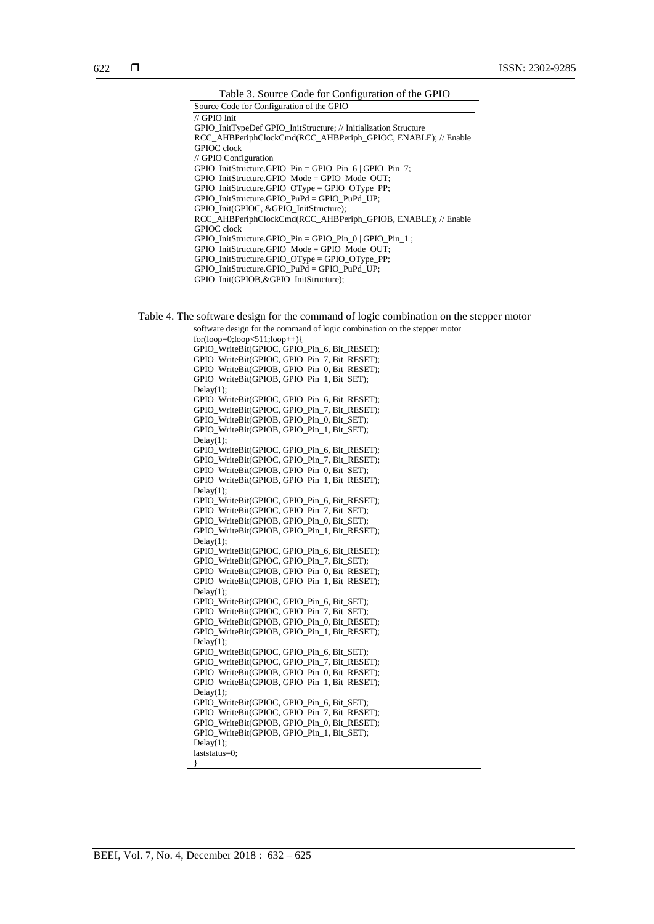| Table 3. Source Code for Configuration of the GPIO                         |  |  |  |
|----------------------------------------------------------------------------|--|--|--|
| Source Code for Configuration of the GPIO                                  |  |  |  |
| $\frac{1}{2}$ GPIO Init                                                    |  |  |  |
| GPIO InitTypeDef GPIO InitStructure; // Initialization Structure           |  |  |  |
| RCC_AHBPeriphClockCmd(RCC_AHBPeriph_GPIOC, ENABLE); // Enable              |  |  |  |
| <b>GPIOC</b> clock                                                         |  |  |  |
| // GPIO Configuration                                                      |  |  |  |
| $GPIO_$ InitStructure. $GPIO_$ Pin = $GPIO_$ Pin $_6$   $GPIO_$ Pin $_7$ ; |  |  |  |
| GPIO InitStructure.GPIO Mode = GPIO Mode OUT;                              |  |  |  |
| $GPIO$ _InitStructure.GPIO_OType = $GPIO$ _OType_PP;                       |  |  |  |
| GPIO InitStructure.GPIO PuPd = GPIO PuPd UP;                               |  |  |  |
| GPIO Init(GPIOC, &GPIO InitStructure);                                     |  |  |  |
| RCC AHBPeriphClockCmd(RCC AHBPeriph GPIOB, ENABLE); // Enable              |  |  |  |
| GPIOC clock                                                                |  |  |  |
| GPIO InitStructure.GPIO Pin = GPIO Pin $0 \mid$ GPIO Pin 1;                |  |  |  |
| GPIO InitStructure.GPIO Mode = GPIO Mode OUT;                              |  |  |  |
| $GPIO\_InitStructure.GPIO_OType = GPIO_OType_PP;$                          |  |  |  |
| GPIO InitStructure.GPIO PuPd = GPIO PuPd UP;                               |  |  |  |
| GPIO Init(GPIOB, & GPIO InitStructure);                                    |  |  |  |

Table 4. The software design for the command of logic combination on the stepper motor

software design for the command of logic combination on the stepper motor  $for(logp=0;logp<511;logp++)$ { GPIO\_WriteBit(GPIOC, GPIO\_Pin\_6, Bit\_RESET); GPIO\_WriteBit(GPIOC, GPIO\_Pin\_7, Bit\_RESET); GPIO\_WriteBit(GPIOB, GPIO\_Pin\_0, Bit\_RESET); GPIO\_WriteBit(GPIOB, GPIO\_Pin\_1, Bit\_SET); Delay $(1)$ ; GPIO\_WriteBit(GPIOC, GPIO\_Pin\_6, Bit\_RESET); GPIO\_WriteBit(GPIOC, GPIO\_Pin\_7, Bit\_RESET); GPIO\_WriteBit(GPIOB, GPIO\_Pin\_0, Bit\_SET); GPIO\_WriteBit(GPIOB, GPIO\_Pin\_1, Bit\_SET);  $Delay(1);$ GPIO\_WriteBit(GPIOC, GPIO\_Pin\_6, Bit\_RESET); GPIO\_WriteBit(GPIOC, GPIO\_Pin\_7, Bit\_RESET); GPIO\_WriteBit(GPIOB, GPIO\_Pin\_0, Bit\_SET); GPIO\_WriteBit(GPIOB, GPIO\_Pin\_1, Bit\_RESET); Delay $(1)$ ; GPIO\_WriteBit(GPIOC, GPIO\_Pin\_6, Bit\_RESET); GPIO\_WriteBit(GPIOC, GPIO\_Pin\_7, Bit\_SET); GPIO\_WriteBit(GPIOB, GPIO\_Pin\_0, Bit\_SET); GPIO\_WriteBit(GPIOB, GPIO\_Pin\_1, Bit\_RESET); Delay(1); GPIO\_WriteBit(GPIOC, GPIO\_Pin\_6, Bit\_RESET); GPIO\_WriteBit(GPIOC, GPIO\_Pin\_7, Bit\_SET); GPIO\_WriteBit(GPIOB, GPIO\_Pin\_0, Bit\_RESET); GPIO\_WriteBit(GPIOB, GPIO\_Pin\_1, Bit\_RESET); Delay(1); GPIO\_WriteBit(GPIOC, GPIO\_Pin\_6, Bit\_SET); GPIO\_WriteBit(GPIOC, GPIO\_Pin\_7, Bit\_SET); GPIO\_WriteBit(GPIOB, GPIO\_Pin\_0, Bit\_RESET); GPIO\_WriteBit(GPIOB, GPIO\_Pin\_1, Bit\_RESET); Delay(1); GPIO\_WriteBit(GPIOC, GPIO\_Pin\_6, Bit\_SET); GPIO\_WriteBit(GPIOC, GPIO\_Pin\_7, Bit\_RESET); GPIO\_WriteBit(GPIOB, GPIO\_Pin\_0, Bit\_RESET); GPIO\_WriteBit(GPIOB, GPIO\_Pin\_1, Bit\_RESET); Delay(1); GPIO\_WriteBit(GPIOC, GPIO\_Pin\_6, Bit\_SET); GPIO\_WriteBit(GPIOC, GPIO\_Pin\_7, Bit\_RESET); GPIO\_WriteBit(GPIOB, GPIO\_Pin\_0, Bit\_RESET); GPIO\_WriteBit(GPIOB, GPIO\_Pin\_1, Bit\_SET); Delay(1); laststatus=0; }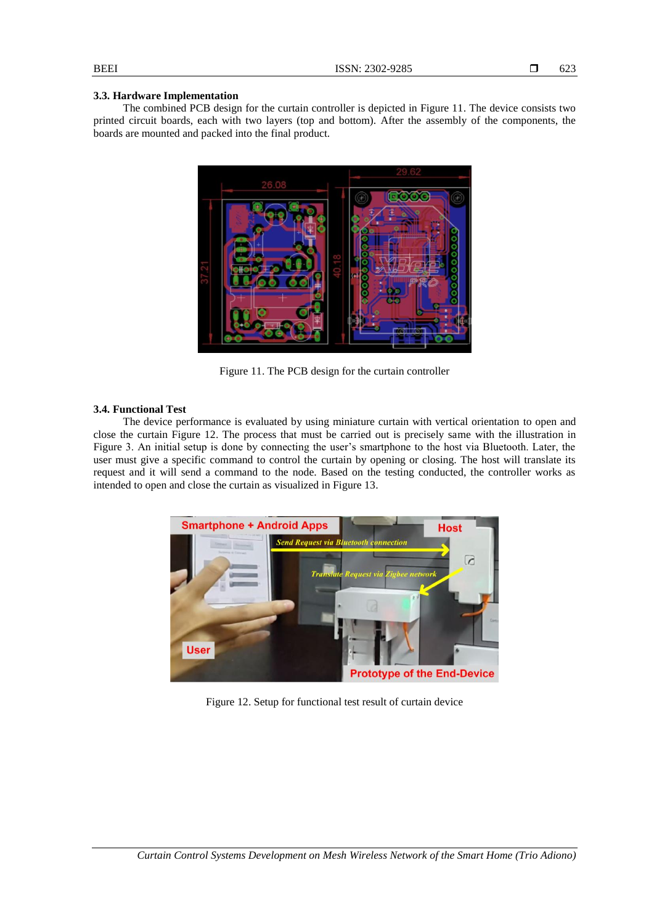## **3.3. Hardware Implementation**

The combined PCB design for the curtain controller is depicted in Figure 11. The device consists two printed circuit boards, each with two layers (top and bottom). After the assembly of the components, the boards are mounted and packed into the final product.



Figure 11. The PCB design for the curtain controller

#### **3.4. Functional Test**

The device performance is evaluated by using miniature curtain with vertical orientation to open and close the curtain Figure 12. The process that must be carried out is precisely same with the illustration in Figure 3. An initial setup is done by connecting the user"s smartphone to the host via Bluetooth. Later, the user must give a specific command to control the curtain by opening or closing. The host will translate its request and it will send a command to the node. Based on the testing conducted, the controller works as intended to open and close the curtain as visualized in Figure 13.



Figure 12. Setup for functional test result of curtain device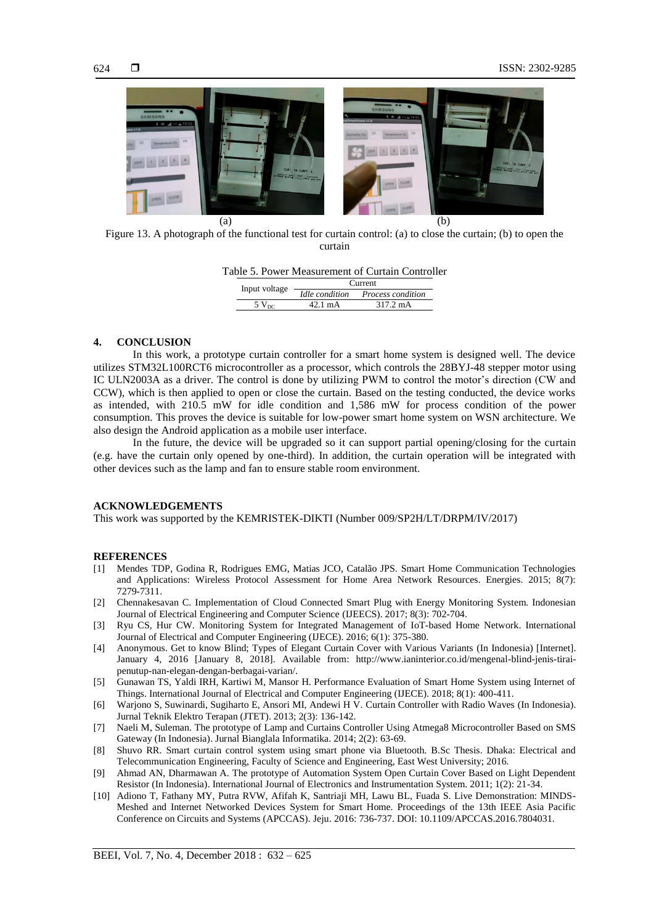

Figure 13. A photograph of the functional test for curtain control: (a) to close the curtain; (b) to open the curtain

|  | Table 5. Power Measurement of Curtain Controller |  |  |
|--|--------------------------------------------------|--|--|
|  |                                                  |  |  |

|                  | Current           |                          |  |  |
|------------------|-------------------|--------------------------|--|--|
| Input voltage    | Idle condition    | <i>Process condition</i> |  |  |
| $5V_{\text{pc}}$ | $42.1 \text{ mA}$ | 317.2 mA                 |  |  |

# **4. CONCLUSION**

In this work, a prototype curtain controller for a smart home system is designed well. The device utilizes STM32L100RCT6 microcontroller as a processor, which controls the 28BYJ-48 stepper motor using IC ULN2003A as a driver. The control is done by utilizing PWM to control the motor's direction (CW and CCW), which is then applied to open or close the curtain. Based on the testing conducted, the device works as intended, with 210.5 mW for idle condition and 1,586 mW for process condition of the power consumption. This proves the device is suitable for low-power smart home system on WSN architecture. We also design the Android application as a mobile user interface.

In the future, the device will be upgraded so it can support partial opening/closing for the curtain (e.g. have the curtain only opened by one-third). In addition, the curtain operation will be integrated with other devices such as the lamp and fan to ensure stable room environment.

#### **ACKNOWLEDGEMENTS**

This work was supported by the KEMRISTEK-DIKTI (Number 009/SP2H/LT/DRPM/IV/2017)

#### **REFERENCES**

- [1] Mendes TDP, Godina R, Rodrigues EMG, Matias JCO, Catalão JPS. Smart Home Communication Technologies and Applications: Wireless Protocol Assessment for Home Area Network Resources. Energies. 2015; 8(7): 7279-7311.
- [2] Chennakesavan C. Implementation of Cloud Connected Smart Plug with Energy Monitoring System. Indonesian Journal of Electrical Engineering and Computer Science (IJEECS). 2017; 8(3): 702-704.
- [3] Ryu CS, Hur CW. Monitoring System for Integrated Management of IoT-based Home Network. International Journal of Electrical and Computer Engineering (IJECE). 2016; 6(1): 375-380.
- [4] Anonymous. Get to know Blind; Types of Elegant Curtain Cover with Various Variants (In Indonesia) [Internet]. January 4, 2016 [January 8, 2018]. Available from: http://www.ianinterior.co.id/mengenal-blind-jenis-tiraipenutup-nan-elegan-dengan-berbagai-varian/.
- [5] Gunawan TS, Yaldi IRH, Kartiwi M, Mansor H. Performance Evaluation of Smart Home System using Internet of Things. International Journal of Electrical and Computer Engineering (IJECE). 2018; 8(1): 400-411.
- [6] Warjono S, Suwinardi, Sugiharto E, Ansori MI, Andewi H V. Curtain Controller with Radio Waves (In Indonesia). Jurnal Teknik Elektro Terapan (JTET). 2013; 2(3): 136-142.
- [7] Naeli M, Suleman. The prototype of Lamp and Curtains Controller Using Atmega8 Microcontroller Based on SMS Gateway (In Indonesia). Jurnal Bianglala Informatika. 2014; 2(2): 63-69.
- [8] Shuvo RR. Smart curtain control system using smart phone via Bluetooth. B.Sc Thesis. Dhaka: Electrical and Telecommunication Engineering, Faculty of Science and Engineering, East West University; 2016.
- [9] Ahmad AN, Dharmawan A. The prototype of Automation System Open Curtain Cover Based on Light Dependent Resistor (In Indonesia). International Journal of Electronics and Instrumentation System. 2011; 1(2): 21-34.
- [10] Adiono T, Fathany MY, Putra RVW, Afifah K, Santriaji MH, Lawu BL, Fuada S. Live Demonstration: MINDS-Meshed and Internet Networked Devices System for Smart Home. Proceedings of the 13th IEEE Asia Pacific Conference on Circuits and Systems (APCCAS). Jeju. 2016: 736-737. DOI: 10.1109/APCCAS.2016.7804031.